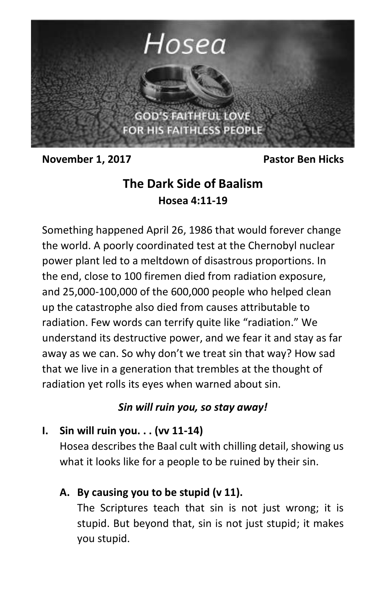

**November 1, 2017** Pastor Ben Hicks

# **The Dark Side of Baalism Hosea 4:11-19**

Something happened April 26, 1986 that would forever change the world. A poorly coordinated test at the Chernobyl nuclear power plant led to a meltdown of disastrous proportions. In the end, close to 100 firemen died from radiation exposure, and 25,000-100,000 of the 600,000 people who helped clean up the catastrophe also died from causes attributable to radiation. Few words can terrify quite like "radiation." We understand its destructive power, and we fear it and stay as far away as we can. So why don't we treat sin that way? How sad that we live in a generation that trembles at the thought of radiation yet rolls its eyes when warned about sin.

## *Sin will ruin you, so stay away!*

## **I. Sin will ruin you. . . (vv 11-14)**

Hosea describes the Baal cult with chilling detail, showing us what it looks like for a people to be ruined by their sin.

# **A. By causing you to be stupid (v 11).**

The Scriptures teach that sin is not just wrong; it is stupid. But beyond that, sin is not just stupid; it makes you stupid.